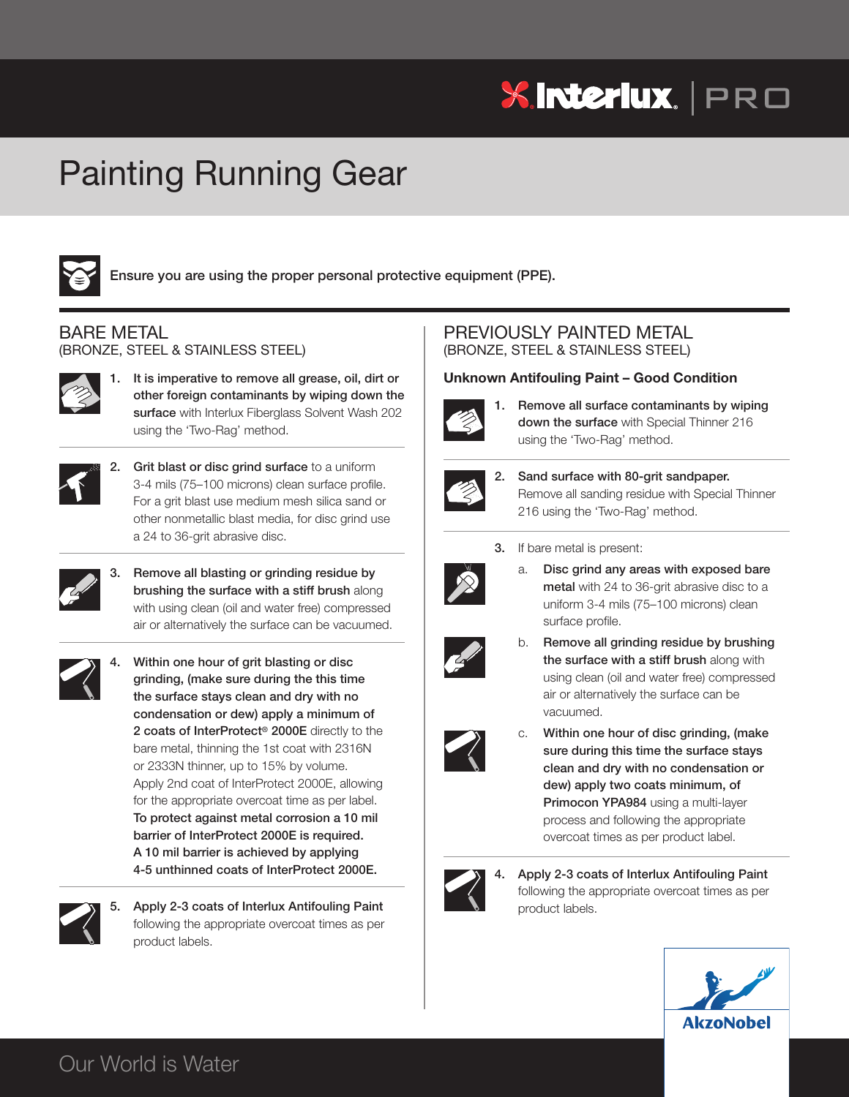# **XInteriux.** | PRO

# Painting Running Gear



**Ensure you are using the proper personal protective equipment (PPE).**

## BARE METAL

(BRONZE, STEEL & STAINLESS STEEL)



**1. It is imperative to remove all grease, oil, dirt or other foreign contaminants by wiping down the surface** with Interlux Fiberglass Solvent Wash 202 using the 'Two-Rag' method.



**2. Grit blast or disc grind surface** to a uniform 3-4 mils (75–100 microns) clean surface profile. For a grit blast use medium mesh silica sand or other nonmetallic blast media, for disc grind use a 24 to 36-grit abrasive disc.



**3. Remove all blasting or grinding residue by brushing the surface with a stiff brush** along with using clean (oil and water free) compressed air or alternatively the surface can be vacuumed.



**4. Within one hour of grit blasting or disc grinding, (make sure during the this time the surface stays clean and dry with no condensation or dew) apply a minimum of 2 coats of InterProtect® 2000E** directly to the bare metal, thinning the 1st coat with 2316N or 2333N thinner, up to 15% by volume. Apply 2nd coat of InterProtect 2000E, allowing for the appropriate overcoat time as per label. **To protect against metal corrosion a 10 mil barrier of InterProtect 2000E is required. A 10 mil barrier is achieved by applying 4-5 unthinned coats of InterProtect 2000E.**



**5. Apply 2-3 coats of Interlux Antifouling Paint** following the appropriate overcoat times as per product labels.

### PREVIOUSLY PAINTED METAL (BRONZE, STEEL & STAINLESS STEEL)

#### **Unknown Antifouling Paint – Good Condition**



**1. Remove all surface contaminants by wiping down the surface** with Special Thinner 216 using the 'Two-Rag' method.



- **2. Sand surface with 80-grit sandpaper.** Remove all sanding residue with Special Thinner 216 using the 'Two-Rag' method.
- **3.** If bare metal is present:



a. **Disc grind any areas with exposed bare metal** with 24 to 36-grit abrasive disc to a uniform 3-4 mils (75–100 microns) clean surface profile.



b. **Remove all grinding residue by brushing the surface with a stiff brush** along with using clean (oil and water free) compressed air or alternatively the surface can be vacuumed.



c. **Within one hour of disc grinding, (make sure during this time the surface stays clean and dry with no condensation or dew) apply two coats minimum, of Primocon YPA984** using a multi-layer process and following the appropriate overcoat times as per product label.



**4. Apply 2-3 coats of Interlux Antifouling Paint** following the appropriate overcoat times as per product labels.